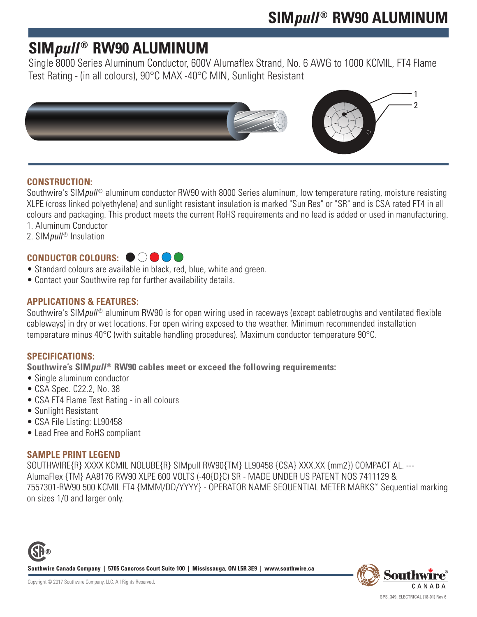# **SIM***pull* **® RW90 ALUMINUM**

Single 8000 Series Aluminum Conductor, 600V Alumaflex Strand, No. 6 AWG to 1000 KCMIL, FT4 Flame Test Rating - (in all colours), 90°C MAX -40°C MIN, Sunlight Resistant



### **CONSTRUCTION:**

Southwire's SIM*pull<sup>®</sup>* aluminum conductor RW90 with 8000 Series aluminum, low temperature rating, moisture resisting XLPE (cross linked polyethylene) and sunlight resistant insulation is marked "Sun Res" or "SR" and is CSA rated FT4 in all colours and packaging. This product meets the current RoHS requirements and no lead is added or used in manufacturing.

- 1. Aluminum Conductor
- 2. SIM *pull*<sup>®</sup> Insulation

## CONDUCTOR COLOURS: ●○●●

- Standard colours are available in black, red, blue, white and green.
- Contact your Southwire rep for further availability details.

### **APPLICATIONS & FEATURES:**

Southwire's SIM*pull<sup>®</sup>* aluminum RW90 is for open wiring used in raceways (except cabletroughs and ventilated flexible cableways) in dry or wet locations. For open wiring exposed to the weather. Minimum recommended installation temperature minus 40°C (with suitable handling procedures). Maximum conductor temperature 90°C.

### **SPECIFICATIONS:**

Southwire's SIM*pull*<sup>®</sup> RW90 cables meet or exceed the following requirements:

- Single aluminum conductor
- CSA Spec. C22.2, No. 38
- CSA FT4 Flame Test Rating in all colours
- Sunlight Resistant
- CSA File Listing: LL90458
- Lead Free and RoHS compliant

#### **SAMPLE PRINT LEGEND**

SOUTHWIRE{R} XXXX KCMIL NOLUBE{R} SIMpull RW90{TM} LL90458 {CSA} XXX.XX {mm2}) COMPACT AL. --- AlumaFlex {TM} AA8176 RW90 XLPE 600 VOLTS (-40{D}C) SR - MADE UNDER US PATENT NOS 7411129 & 7557301-RW90 500 KCMIL FT4 {MMM/DD/YYYY} - OPERATOR NAME SEQUENTIAL METER MARKS\* Sequential marking on sizes 1/0 and larger only.



**Southwire Canada Company | 5705 Cancross Court Suite 100 | Mississauga, ON L5R 3E9 | www.southwire.ca**